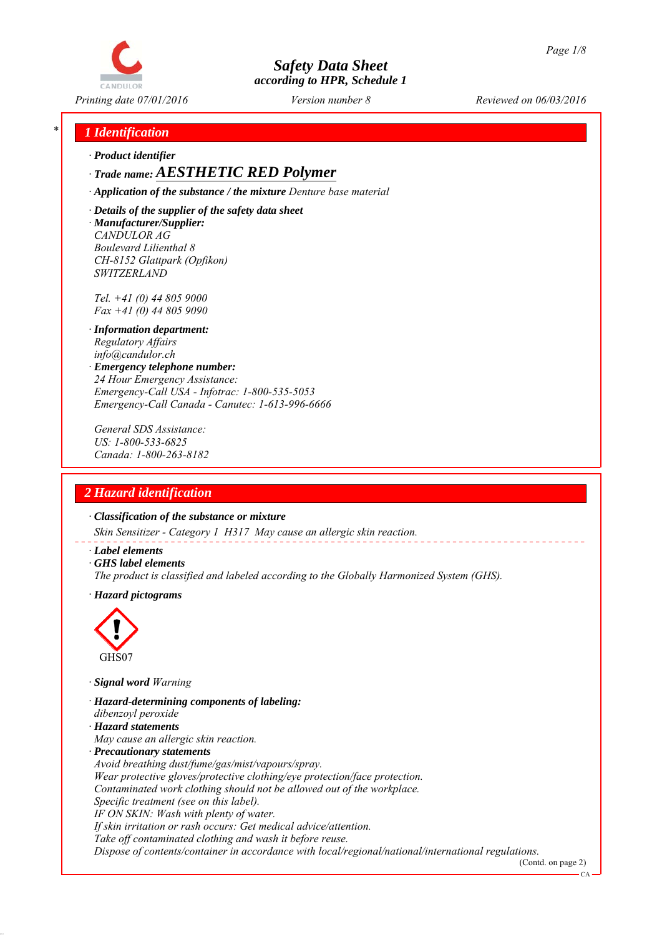

*Printing date 07/01/2016 Reviewed on 06/03/2016 Version number 8*

## *\* 1 Identification*

*∙ Product identifier*

*∙ Trade name: AESTHETIC RED Polymer*

*∙ Application of the substance / the mixture Denture base material*

*∙ Details of the supplier of the safety data sheet ∙ Manufacturer/Supplier: CANDULOR AG Boulevard Lilienthal 8 CH-8152 Glattpark (Opfikon) SWITZERLAND*

*Tel. +41 (0) 44 805 9000 Fax +41 (0) 44 805 9090*

- *∙ Information department: Regulatory Affairs info@candulor.ch*
- *∙ Emergency telephone number: 24 Hour Emergency Assistance: Emergency-Call USA - Infotrac: 1-800-535-5053 Emergency-Call Canada - Canutec: 1-613-996-6666*

*General SDS Assistance: US: 1-800-533-6825 Canada: 1-800-263-8182*

## *2 Hazard identification*

*∙ Classification of the substance or mixture*

*Skin Sensitizer - Category 1 H317 May cause an allergic skin reaction.*

- *∙ Label elements*
- *∙ GHS label elements*
- *The product is classified and labeled according to the Globally Harmonized System (GHS).*
- *∙ Hazard pictograms*



*∙ Signal word Warning*

- *∙ Hazard-determining components of labeling:*
- *dibenzoyl peroxide*
- *∙ Hazard statements*
- *May cause an allergic skin reaction.*
- *∙ Precautionary statements*
- *Avoid breathing dust/fume/gas/mist/vapours/spray.*

*Wear protective gloves/protective clothing/eye protection/face protection.*

*Contaminated work clothing should not be allowed out of the workplace.*

*Specific treatment (see on this label).*

*IF ON SKIN: Wash with plenty of water.*

*If skin irritation or rash occurs: Get medical advice/attention.*

*Take off contaminated clothing and wash it before reuse.*

*Dispose of contents/container in accordance with local/regional/national/international regulations.*

(Contd. on page 2)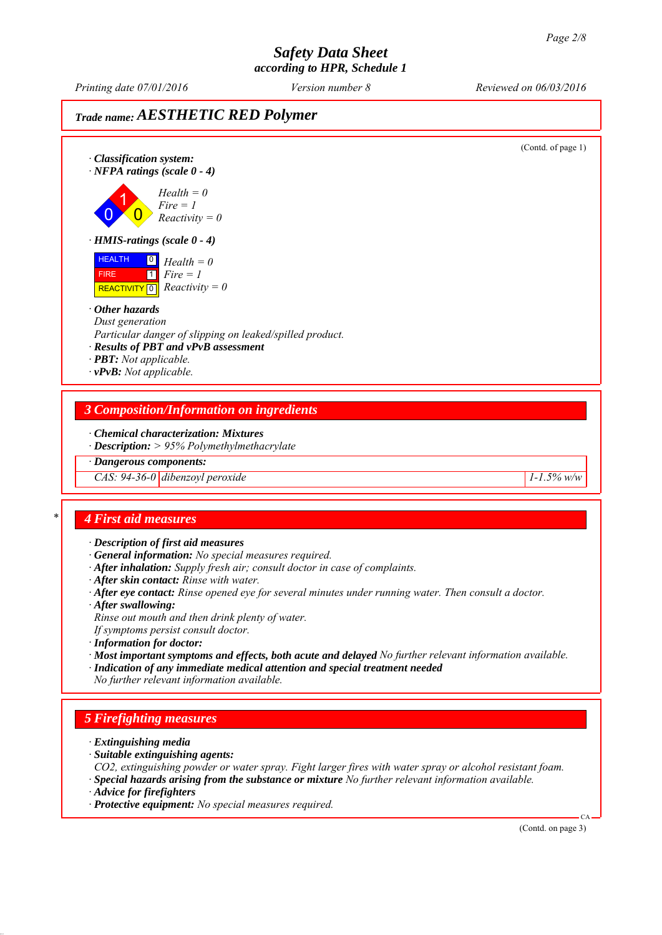# *Safety Data Sheet*

*according to HPR, Schedule 1*

*Printing date 07/01/2016 Reviewed on 06/03/2016 Version number 8*

## *Trade name: AESTHETIC RED Polymer*

(Contd. of page 1) *∙ Classification system: ∙ NFPA ratings (scale 0 - 4)* 0 1  $\overline{\mathbf{0}}$ *Health = 0 Fire = 1 Reactivity = 0 ∙ HMIS-ratings (scale 0 - 4)* HEALTH FIRE  $\overline{REACTIVITY \, 0}$  *Reactivity = 0* 0 *Health = 0*  $\overline{1}$ *Fire = 1 ∙ Other hazards Dust generation Particular danger of slipping on leaked/spilled product. ∙ Results of PBT and vPvB assessment ∙ PBT: Not applicable. ∙ vPvB: Not applicable. 3 Composition/Information on ingredients ∙ Chemical characterization: Mixtures ∙ Description: > 95% Polymethylmethacrylate ∙ Dangerous components: CAS: 94-36-0 dibenzoyl peroxide* 1-1.5% w/w *\* 4 First aid measures ∙ Description of first aid measures ∙ General information: No special measures required. ∙ After inhalation: Supply fresh air; consult doctor in case of complaints. ∙ After skin contact: Rinse with water. ∙ After eye contact: Rinse opened eye for several minutes under running water. Then consult a doctor. ∙ After swallowing: Rinse out mouth and then drink plenty of water. If symptoms persist consult doctor. ∙ Information for doctor: ∙ Most important symptoms and effects, both acute and delayed No further relevant information available. ∙ Indication of any immediate medical attention and special treatment needed No further relevant information available.*

## *5 Firefighting measures*

- *∙ Extinguishing media*
- *∙ Suitable extinguishing agents:*
- *CO2, extinguishing powder or water spray. Fight larger fires with water spray or alcohol resistant foam.*
- *∙ Special hazards arising from the substance or mixture No further relevant information available.*
- *∙ Advice for firefighters*
- *∙ Protective equipment: No special measures required.*

(Contd. on page 3)

CA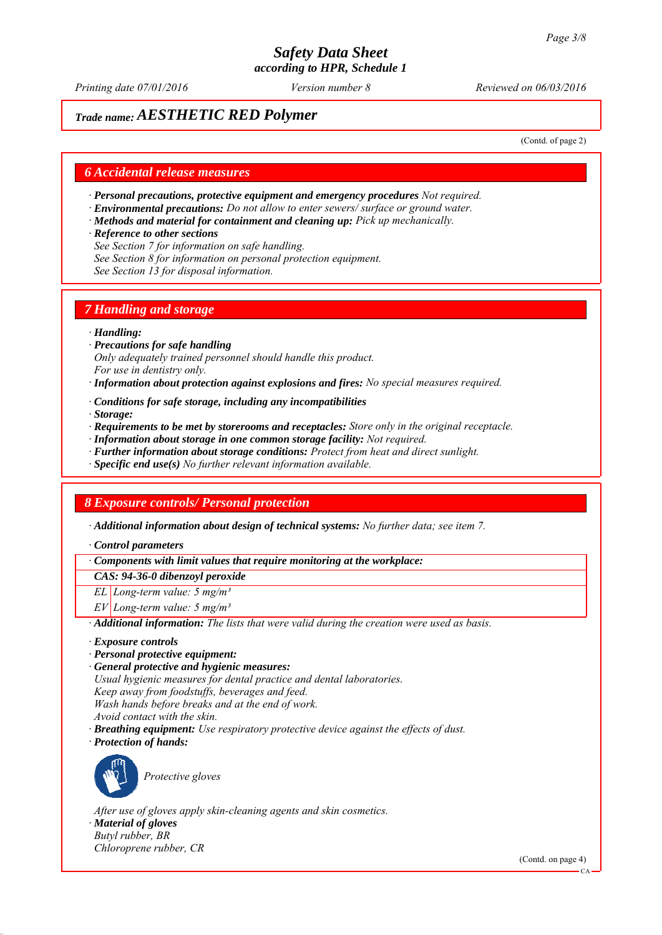*Printing date 07/01/2016 Reviewed on 06/03/2016 Version number 8*

## *Trade name: AESTHETIC RED Polymer*

(Contd. of page 2)

## *6 Accidental release measures*

- *∙ Personal precautions, protective equipment and emergency procedures Not required.*
- *∙ Environmental precautions: Do not allow to enter sewers/ surface or ground water.*
- *∙ Methods and material for containment and cleaning up: Pick up mechanically.*
- *∙ Reference to other sections*
- *See Section 7 for information on safe handling.*
- *See Section 8 for information on personal protection equipment.*
- *See Section 13 for disposal information.*

## *7 Handling and storage*

### *∙ Handling:*

- *∙ Precautions for safe handling Only adequately trained personnel should handle this product. For use in dentistry only.*
- *∙ Information about protection against explosions and fires: No special measures required.*
- *∙ Conditions for safe storage, including any incompatibilities*
- *∙ Storage:*
- *∙ Requirements to be met by storerooms and receptacles: Store only in the original receptacle.*
- *∙ Information about storage in one common storage facility: Not required.*
- *∙ Further information about storage conditions: Protect from heat and direct sunlight.*
- *∙ Specific end use(s) No further relevant information available.*

## *8 Exposure controls/ Personal protection*

*∙ Additional information about design of technical systems: No further data; see item 7.*

*∙ Control parameters*

*∙ Components with limit values that require monitoring at the workplace:*

*CAS: 94-36-0 dibenzoyl peroxide*

*EL Long-term value: 5 mg/m³*

*EV Long-term value: 5 mg/m³*

*∙ Additional information: The lists that were valid during the creation were used as basis.*

- *∙ Exposure controls*
- *∙ Personal protective equipment:*

*∙ General protective and hygienic measures: Usual hygienic measures for dental practice and dental laboratories. Keep away from foodstuffs, beverages and feed. Wash hands before breaks and at the end of work. Avoid contact with the skin. ∙ Breathing equipment: Use respiratory protective device against the effects of dust.*

*∙ Protection of hands:*



*Protective gloves*

*After use of gloves apply skin-cleaning agents and skin cosmetics.*

*∙ Material of gloves Butyl rubber, BR*

*Chloroprene rubber, CR*

(Contd. on page 4)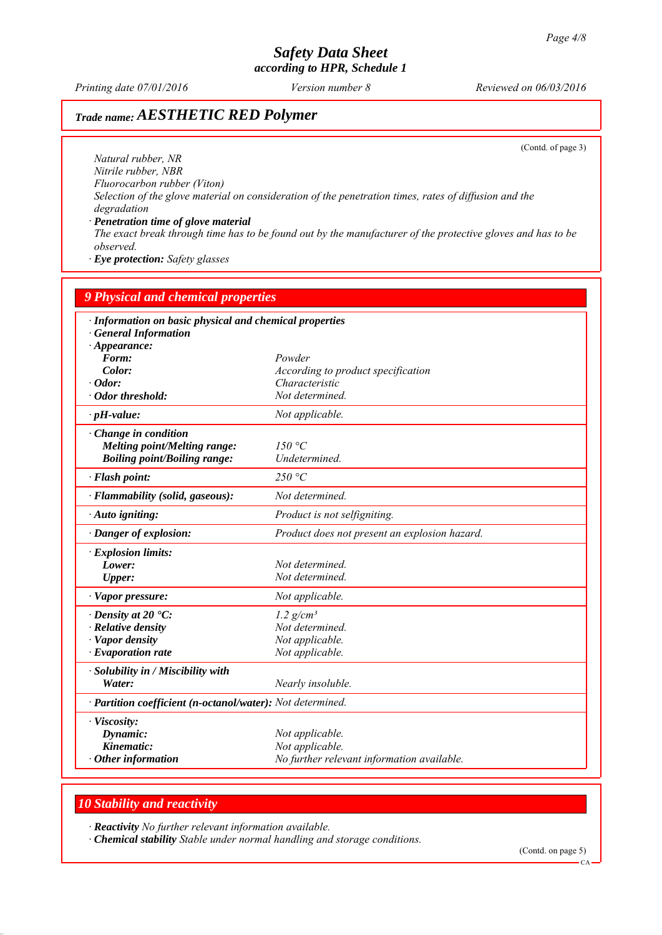*Printing date 07/01/2016 Reviewed on 06/03/2016 Version number 8*

# *Trade name: AESTHETIC RED Polymer*

(Contd. of page 3)

*Natural rubber, NR Nitrile rubber, NBR Fluorocarbon rubber (Viton) Selection of the glove material on consideration of the penetration times, rates of diffusion and the degradation*

*∙ Penetration time of glove material The exact break through time has to be found out by the manufacturer of the protective gloves and has to be observed.*

*∙ Eye protection: Safety glasses*

| <b>9 Physical and chemical properties</b><br>· Information on basic physical and chemical properties<br><b>General Information</b><br>$\cdot$ Appearance: |                                                                                  |
|-----------------------------------------------------------------------------------------------------------------------------------------------------------|----------------------------------------------------------------------------------|
|                                                                                                                                                           |                                                                                  |
| Color:                                                                                                                                                    | According to product specification                                               |
| $\cdot$ Odor:                                                                                                                                             | Characteristic                                                                   |
| · Odor threshold:                                                                                                                                         | Not determined.                                                                  |
| $\cdot$ pH-value:                                                                                                                                         | Not applicable.                                                                  |
| $\cdot$ Change in condition<br><b>Melting point/Melting range:</b><br><b>Boiling point/Boiling range:</b>                                                 | 150 °C<br>Undetermined.                                                          |
| · Flash point:                                                                                                                                            | 250 °C                                                                           |
| · Flammability (solid, gaseous):                                                                                                                          | Not determined.                                                                  |
| · Auto igniting:                                                                                                                                          | Product is not selfigniting.                                                     |
| Danger of explosion:                                                                                                                                      | Product does not present an explosion hazard.                                    |
| · Explosion limits:                                                                                                                                       |                                                                                  |
| Lower:                                                                                                                                                    | Not determined.                                                                  |
| <b>Upper:</b>                                                                                                                                             | Not determined.                                                                  |
| $\cdot$ Vapor pressure:                                                                                                                                   | Not applicable.                                                                  |
| $\cdot$ Density at 20 $\cdot$ C:                                                                                                                          | $1.2$ g/cm <sup>3</sup>                                                          |
| · Relative density                                                                                                                                        | Not determined.                                                                  |
| · Vapor density                                                                                                                                           | Not applicable.                                                                  |
| $\cdot$ Evaporation rate                                                                                                                                  | Not applicable.                                                                  |
| · Solubility in / Miscibility with                                                                                                                        |                                                                                  |
| Water:                                                                                                                                                    | Nearly insoluble.                                                                |
| · Partition coefficient (n-octanol/water): Not determined.                                                                                                |                                                                                  |
| · Viscosity:<br>Dynamic:<br>Kinematic:<br>$\cdot$ Other information                                                                                       | Not applicable.<br>Not applicable.<br>No further relevant information available. |

## *10 Stability and reactivity*

*∙ Reactivity No further relevant information available.*

*∙ Chemical stability Stable under normal handling and storage conditions.*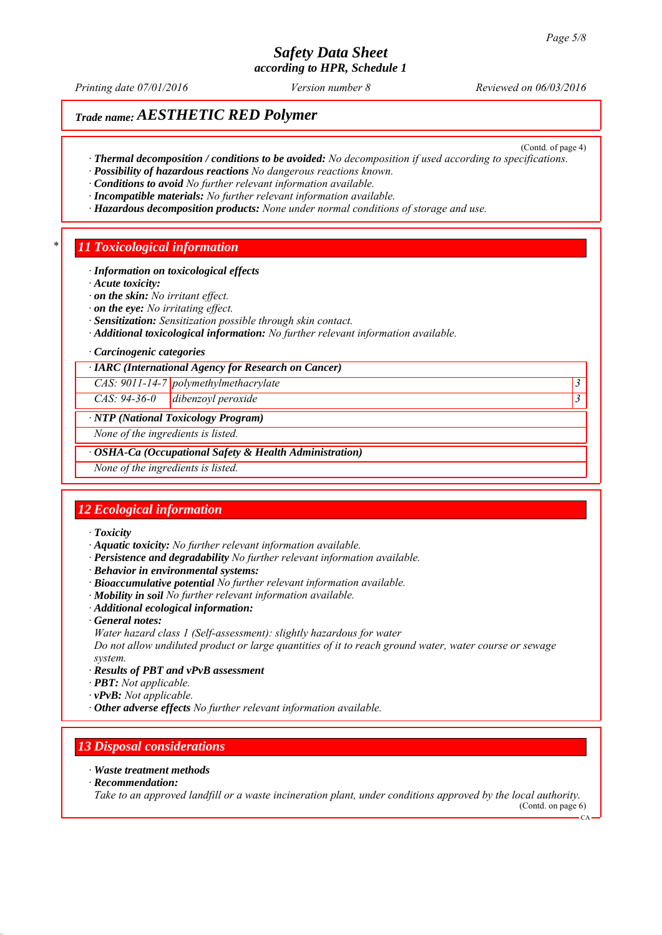# *Safety Data Sheet*

*according to HPR, Schedule 1*

*Printing date 07/01/2016 Reviewed on 06/03/2016 Version number 8*

(Contd. of page 4)

## *Trade name: AESTHETIC RED Polymer*

- *∙ Thermal decomposition / conditions to be avoided: No decomposition if used according to specifications.*
- *∙ Possibility of hazardous reactions No dangerous reactions known.*
- *∙ Conditions to avoid No further relevant information available.*
- *∙ Incompatible materials: No further relevant information available.*
- *∙ Hazardous decomposition products: None under normal conditions of storage and use.*

## *\* 11 Toxicological information*

- *∙ Information on toxicological effects*
- *∙ Acute toxicity:*
- *∙ on the skin: No irritant effect.*
- *∙ on the eye: No irritating effect.*
- *∙ Sensitization: Sensitization possible through skin contact.*
- *∙ Additional toxicological information: No further relevant information available.*
- *∙ Carcinogenic categories*
- *∙ IARC (International Agency for Research on Cancer)*

*CAS: 9011-14-7 polymethylmethacrylate 3* 

*CAS: 94-36-0 dibenzoyl peroxide 3* 

#### *∙ NTP (National Toxicology Program)*

*None of the ingredients is listed.*

*∙ OSHA-Ca (Occupational Safety & Health Administration)*

*None of the ingredients is listed.*

## *12 Ecological information*

- *∙ Toxicity*
- *∙ Aquatic toxicity: No further relevant information available.*
- *∙ Persistence and degradability No further relevant information available.*
- *∙ Behavior in environmental systems:*
- *∙ Bioaccumulative potential No further relevant information available.*
- *∙ Mobility in soil No further relevant information available.*
- *∙ Additional ecological information:*
- *∙ General notes:*
- *Water hazard class 1 (Self-assessment): slightly hazardous for water*

*Do not allow undiluted product or large quantities of it to reach ground water, water course or sewage system.*

- *∙ Results of PBT and vPvB assessment*
- *∙ PBT: Not applicable.*
- *∙ vPvB: Not applicable.*
- *∙ Other adverse effects No further relevant information available.*

## *13 Disposal considerations*

- *∙ Waste treatment methods*
- *∙ Recommendation:*

*Take to an approved landfill or a waste incineration plant, under conditions approved by the local authority.* (Contd. on page 6)

 $CA$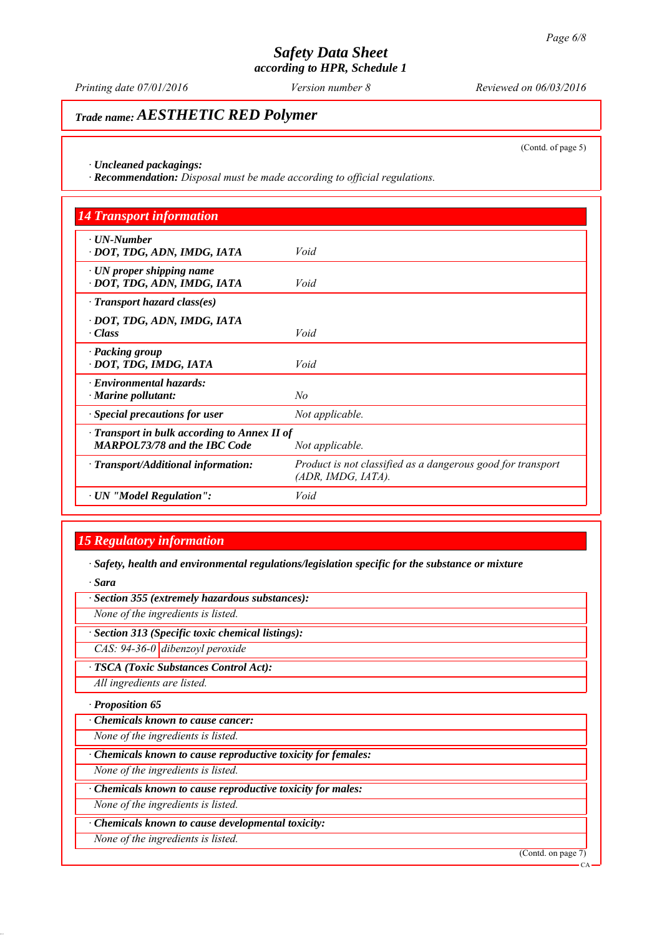*Printing date 07/01/2016 Reviewed on 06/03/2016 Version number 8*

## *Trade name: AESTHETIC RED Polymer*

(Contd. of page 5)

*∙ Uncleaned packagings:*

*∙ Recommendation: Disposal must be made according to official regulations.*

| <b>14 Transport information</b>                                                     |                                                                                   |
|-------------------------------------------------------------------------------------|-----------------------------------------------------------------------------------|
| $\cdot$ UN-Number<br>· DOT, TDG, ADN, IMDG, IATA                                    | Void                                                                              |
| $\cdot$ UN proper shipping name<br>· DOT, TDG, ADN, IMDG, IATA                      | Void                                                                              |
| $\cdot$ Transport hazard class(es)                                                  |                                                                                   |
| · DOT, TDG, ADN, IMDG, IATA<br>$\cdot Class$                                        | Void                                                                              |
| · Packing group<br>· DOT, TDG, IMDG, IATA                                           | Void                                                                              |
| · Environmental hazards:<br>$\cdot$ Marine pollutant:                               | No                                                                                |
| · Special precautions for user                                                      | Not applicable.                                                                   |
| · Transport in bulk according to Annex II of<br><b>MARPOL73/78 and the IBC Code</b> | Not applicable.                                                                   |
| · Transport/Additional information:                                                 | Product is not classified as a dangerous good for transport<br>(ADR, IMDG, IATA). |
| · UN "Model Regulation":                                                            | Void                                                                              |

## *15 Regulatory information*

*∙ Safety, health and environmental regulations/legislation specific for the substance or mixture*

*∙ Sara*

*∙ Section 355 (extremely hazardous substances):*

*None of the ingredients is listed.*

*∙ Section 313 (Specific toxic chemical listings):*

*CAS: 94-36-0 dibenzoyl peroxide*

*∙ TSCA (Toxic Substances Control Act):*

*All ingredients are listed.*

*∙ Proposition 65*

*∙ Chemicals known to cause cancer:*

*None of the ingredients is listed.*

*∙ Chemicals known to cause reproductive toxicity for females:*

*None of the ingredients is listed.*

*∙ Chemicals known to cause reproductive toxicity for males:*

*None of the ingredients is listed.*

*∙ Chemicals known to cause developmental toxicity:*

*None of the ingredients is listed.*

(Contd. on page 7)

CA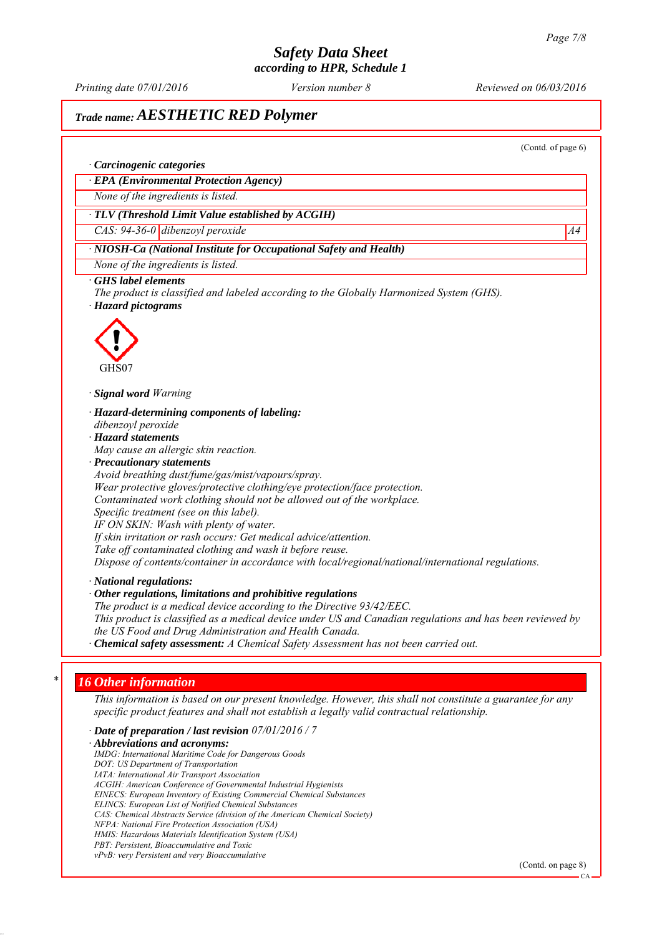*Printing date 07/01/2016 Reviewed on 06/03/2016 Version number 8*

## *Trade name: AESTHETIC RED Polymer*

(Contd. of page 6)

### *∙ Carcinogenic categories*

*∙ EPA (Environmental Protection Agency)*

*None of the ingredients is listed.*

### *∙ TLV (Threshold Limit Value established by ACGIH)*

*CAS: 94-36-0 dibenzoyl peroxide* A4

## *∙ NIOSH-Ca (National Institute for Occupational Safety and Health)*

*None of the ingredients is listed.*

### *∙ GHS label elements*

*The product is classified and labeled according to the Globally Harmonized System (GHS). ∙ Hazard pictograms*



*∙ Signal word Warning*

*∙ Hazard-determining components of labeling:*

- *dibenzoyl peroxide*
- *∙ Hazard statements*

*May cause an allergic skin reaction.*

*∙ Precautionary statements*

*Avoid breathing dust/fume/gas/mist/vapours/spray. Wear protective gloves/protective clothing/eye protection/face protection. Contaminated work clothing should not be allowed out of the workplace. Specific treatment (see on this label). IF ON SKIN: Wash with plenty of water. If skin irritation or rash occurs: Get medical advice/attention. Take off contaminated clothing and wash it before reuse. Dispose of contents/container in accordance with local/regional/national/international regulations.*

*∙ National regulations:*

*∙ Other regulations, limitations and prohibitive regulations*

*The product is a medical device according to the Directive 93/42/EEC. This product is classified as a medical device under US and Canadian regulations and has been reviewed by the US Food and Drug Administration and Health Canada.*

*∙ Chemical safety assessment: A Chemical Safety Assessment has not been carried out.*

### *\* 16 Other information*

*This information is based on our present knowledge. However, this shall not constitute a guarantee for any specific product features and shall not establish a legally valid contractual relationship.*

*∙ Date of preparation / last revision 07/01/2016 / 7*

*∙ Abbreviations and acronyms: IMDG: International Maritime Code for Dangerous Goods DOT: US Department of Transportation IATA: International Air Transport Association ACGIH: American Conference of Governmental Industrial Hygienists EINECS: European Inventory of Existing Commercial Chemical Substances ELINCS: European List of Notified Chemical Substances CAS: Chemical Abstracts Service (division of the American Chemical Society) NFPA: National Fire Protection Association (USA) HMIS: Hazardous Materials Identification System (USA) PBT: Persistent, Bioaccumulative and Toxic vPvB: very Persistent and very Bioaccumulative*

(Contd. on page 8)